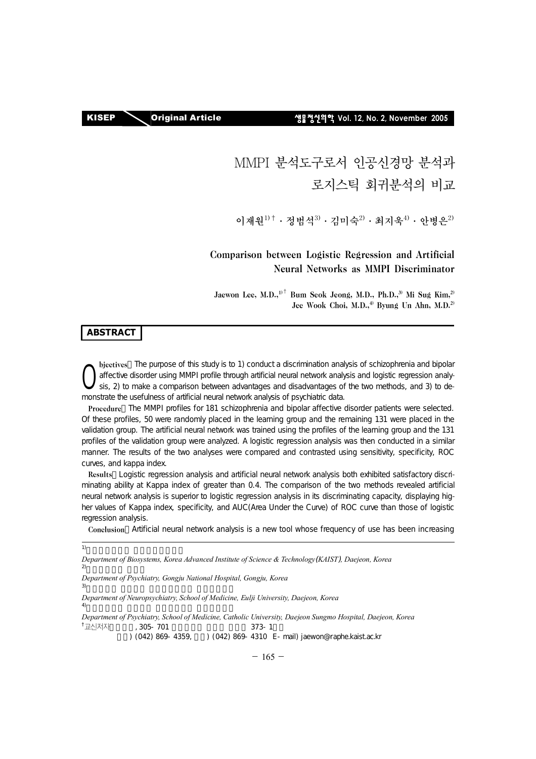KISEP Original Article 생물정신의학 **Vol. 12, No. 2, November 2005**

# MMPI 분석도구로서 인공신경망 분석과 로지스틱 회귀분석의 비교

이재워 $11^+$  · 정범석 $3$  · 김미숙 $2$  · 최지욱 $4$  · 아병은 $2$ 

# Comparison between Logistic Regression and Artificial Neural Networks as MMPI Discriminator

Jaewon Lee, M.D., $1$ <sup>t</sup> Bum Seok Jeong, M.D., Ph.D.,<sup>3)</sup> Mi Sug Kim,<sup>2)</sup> Jee Wook Choi, M.D.,<sup>4)</sup> Byung Un Ahn, M.D.<sup>2)</sup>

### **ABSTRACT**

bjectives: The purpose of this study is to 1) conduct a discrimination analysis of schizophrenia and bipolar affective disorder using MMPI profile through artificial neural network analysis and logistic regression analydiffective disorder using MMPI profile through artificial neural network analysis and logistic regression analysis, 2) to make a comparison between advantages and disadvantages of the two methods, and 3) to demonstrate the usefulness of artificial neural network analysis of psychiatric data.

Procedure: The MMPI profiles for 181 schizophrenia and bipolar affective disorder patients were selected. Of these profiles, 50 were randomly placed in the learning group and the remaining 131 were placed in the validation group. The artificial neural network was trained using the profiles of the learning group and the 131 profiles of the validation group were analyzed. A logistic regression analysis was then conducted in a similar manner. The results of the two analyses were compared and contrasted using sensitivity, specificity, ROC curves, and kappa index.

Results: Logistic regression analysis and artificial neural network analysis both exhibited satisfactory discriminating ability at Kappa index of greater than 0.4. The comparison of the two methods revealed artificial neural network analysis is superior to logistic regression analysis in its discriminating capacity, displaying higher values of Kappa index, specificity, and AUC(Area Under the Curve) of ROC curve than those of logistic regression analysis.

Conclusion Artificial neural network analysis is a new tool whose frequency of use has been increasing

*Department of Biosystems, Korea Advanced Institute of Science & Technology*(*KAIST*)*, Daejeon, Korea*  $(2)$ 

*Department of Psychiatry, Gongju National Hospital, Gongju, Korea* 

 $3)$ 

*Department of Neuropsychiatry, School of Medicine, Eulji University, Daejeon, Korea* 

 $\left(4\right)$ *Department of Psychiatry, School of Medicine, Catholic University, Daejeon Sungmo Hospital, Daejeon, Korea*   $^\dagger$ 교신저자 بان المسافي التي التي التي التي التي التي التي تي التي تي التي تي التي تي التي تي التي تي التي تي التي تي ال<br>التي تي التي تي التي تي التي تي التي تي التي تي التي تي التي تي التي تي التي تي التي تي التي تي التي تي التي ا

) (042) 869-4359, (042) 869-4310 E-mail) jaewon@raphe.kaist.ac.kr

<sup>1)</sup>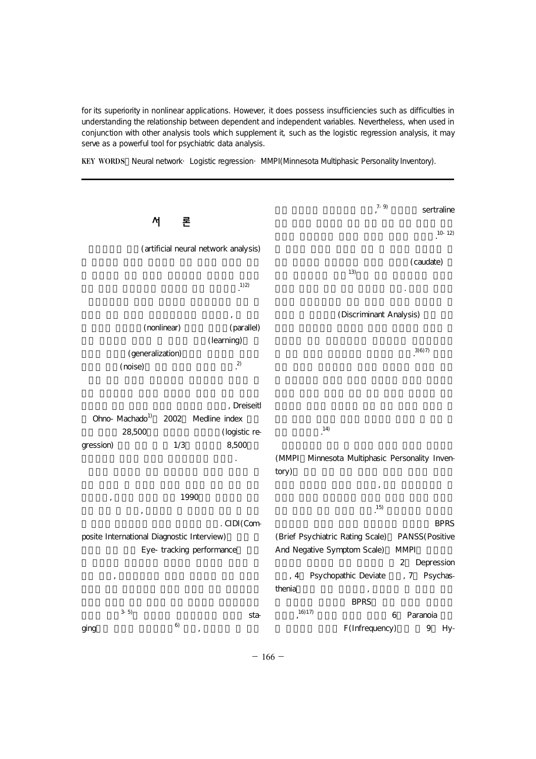for its superiority in nonlinear applications. However, it does possess insufficiencies such as difficulties in understanding the relationship between dependent and independent variables. Nevertheless, when used in conjunction with other analysis tools which supplement it, such as the logistic regression analysis, it may serve as a powerful tool for psychiatric data analysis.

KEY WORDS Neural network· Logistic regression· MMPI(Minnesota Multiphasic Personality Inventory).

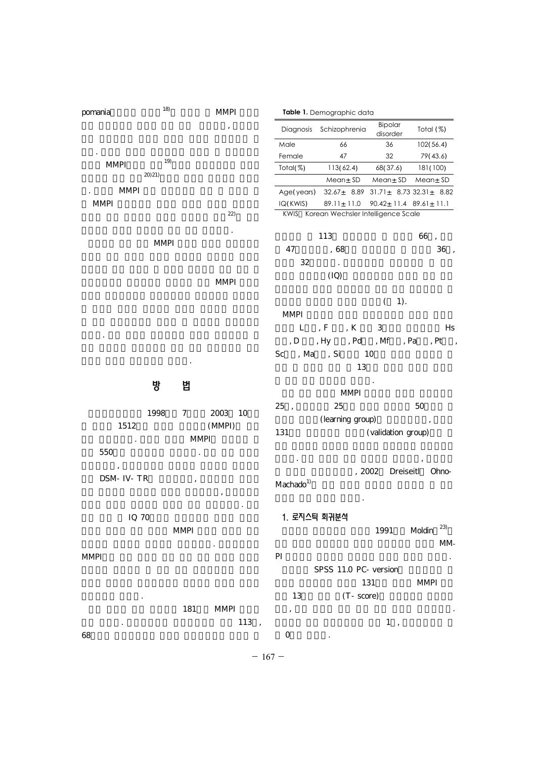| pomania                      | 18)         | <b>MMPI</b>     | Table 1. Demographic data               |                                                          |                      |                                          |  |
|------------------------------|-------------|-----------------|-----------------------------------------|----------------------------------------------------------|----------------------|------------------------------------------|--|
|                              |             |                 |                                         | Diagnosis Schizophrenia                                  | Bipolar<br>disorder  | Total (%)                                |  |
|                              |             |                 | Male                                    | 66                                                       | 36                   | 102(56.4)                                |  |
|                              | 19)         |                 | Female                                  | 47                                                       | 32                   | 79(43.6)                                 |  |
| <b>MMPI</b>                  |             |                 | Total $(\%)$                            | 113(62.4)                                                | 68(37.6)             | 181 (100)                                |  |
|                              | 20(21)      |                 |                                         | Mean <sub>±</sub> SD                                     | Mean <sub>±</sub> SD | Mean <sub>±</sub> SD                     |  |
| $\mathop{\rm MMPI}\nolimits$ |             |                 | Age(years)                              | $32.67_{\pm}$ 8.89 $31.71_{\pm}$ 8.73 $32.31_{\pm}$ 8.82 |                      |                                          |  |
| <b>MMPI</b>                  |             |                 | IQ(KWIS)                                | $89.11 \pm 11.0$                                         |                      | $90.42 \pm 11.4$ $89.61 \pm 11.1$        |  |
|                              |             | 22)             | KWIS Korean Wechsler Intelligence Scale |                                                          |                      |                                          |  |
|                              |             |                 |                                         | 113                                                      |                      | 66<br>$\cdot$                            |  |
|                              | <b>MMPI</b> |                 | 47                                      | , 68                                                     |                      | $36\,$ ,                                 |  |
|                              |             |                 | 32                                      |                                                          |                      |                                          |  |
|                              |             |                 |                                         | $\cdot$                                                  |                      |                                          |  |
|                              |             | <b>MMPI</b>     |                                         | (IQ)                                                     |                      |                                          |  |
|                              |             |                 |                                         |                                                          | 1).<br>$\left($      |                                          |  |
|                              |             |                 | <b>MMPI</b>                             |                                                          |                      |                                          |  |
|                              |             |                 | L                                       | , F<br>, K                                               | 3                    | Hs                                       |  |
|                              |             |                 | , ${\rm D}$                             | , Hy<br>, Pd                                             | , Mf                 | , Pa<br>, Pt<br>$\overline{\phantom{a}}$ |  |
|                              |             |                 | Sc<br>, Mass, Si<br>10                  |                                                          |                      |                                          |  |
|                              |             |                 | 13                                      |                                                          |                      |                                          |  |
|                              |             |                 |                                         |                                                          |                      |                                          |  |
|                              | 방           | 법               |                                         | <b>MMPI</b>                                              |                      |                                          |  |
|                              |             |                 | 25,                                     | 25                                                       |                      | 50                                       |  |
|                              | 1998        | 2003<br>7<br>10 |                                         | (learning group)                                         |                      | $\,$ ,                                   |  |
| 1512                         |             | (MMPI)          | 131                                     |                                                          | (validation group)   |                                          |  |
|                              |             | $\text{MMPI}$   |                                         |                                                          |                      |                                          |  |
| 550                          |             | $\cdot$         |                                         |                                                          |                      |                                          |  |
| DSM- IV- TR                  |             |                 | Machado <sup>1)</sup>                   |                                                          | 2002<br>Dreiseitl    | Ohno-                                    |  |
|                              |             |                 |                                         |                                                          |                      |                                          |  |

위의 자료 중 IQ 70이하의 정신지체의 경우와 무응답 MMPI 신뢰하기 어렵다고 판단되어 제외하였다. 양극성장애는 MMPI

배제하지만 하지만 않았다. 181 MMPI  $\frac{113}{113}$  $68$ 

1991 Moldin $^{23}$  $M$ M $\sim$ PI ZERESTATION DE EXPLORER EN LA SERVICIÓN DE ESTE ELECTRICIA DE ESTE ELECTRICIA DE ESTE ELECTRICIA DE ESTE EL SPSS 11.0 PC- version 131 MMPI 13 (T-score) 있고, 다른 전처리 혹은 환산 없이 분석에 사용되었다.  $1, 3, \ldots$  $0$  .

1. 로지스틱 회귀분석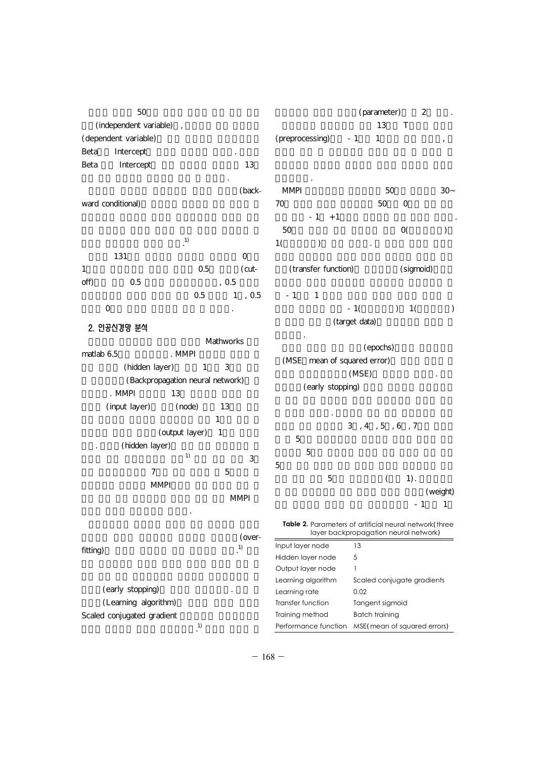$50$ (independent variable), (dependent variable) Beta Intercept Beta Intercept 13 척도 값을 대입하여 결과값을 얻을 수 있었다.

(backward conditional)

 $\cdot$  1)  $131$  0  $1$  0.5 (cutoff)  $0.5$   $0.5$  $0.5$  1,  $0.5$  $0$ 

2. 인공신경망 분석 Mathworks matlab 6.5
EXPLOSE AMPI (hidden layer) 1 3 (Backpropagation neural network) . MMPI 13 (input layer) (node) 13  $\frac{1}{1}$ (output layer) 1 (hidden layer)  $^{1)}$  3  $7$  5 MMPI MMPI

(overfitting) (early stopping)

(Learning algorithm)  $\begin{minipage}{.4\linewidth} \emph{Scaled conjugated gradient} \end{minipage}$  $\ddot{a}$  (1)

로파일 분석에 사용하기로 하였다.

(parameter) 2  $\Gamma$  13  $\Gamma$  $(p$ reprocessing $)$  -1 1

진행되었다. MMPI 50 $30-$ 70 50 50 0  $-1$  +1  $50$  0()  $1($  )  $\qquad$ 

(transfer function) (sigmoid)

 $-1$   $1$  $-1($  ) 1() (target data)

용되었다. (epochs) (MSE: mean of squared error)  $(MSE)$ (early stopping)

를 제공해 주었다. 은닉층의 노드 수를 결정하여야 하기 3, 4, 5, 6, 7  $5$  $5$  $5$  $5$  (1). (weight)

 $-1$   $-1$ **Table 2.** Parameters of artificial neural network(three layer backpropagation neural network)

Input layer node 13 Hidden layer node 5 Output layer node 1 Learning algorithm Scaled conjugate gradients Learning rate 0.02 Transfer function Tangent sigmoid Training method Batch training Performance function MSE(mean of squared errors)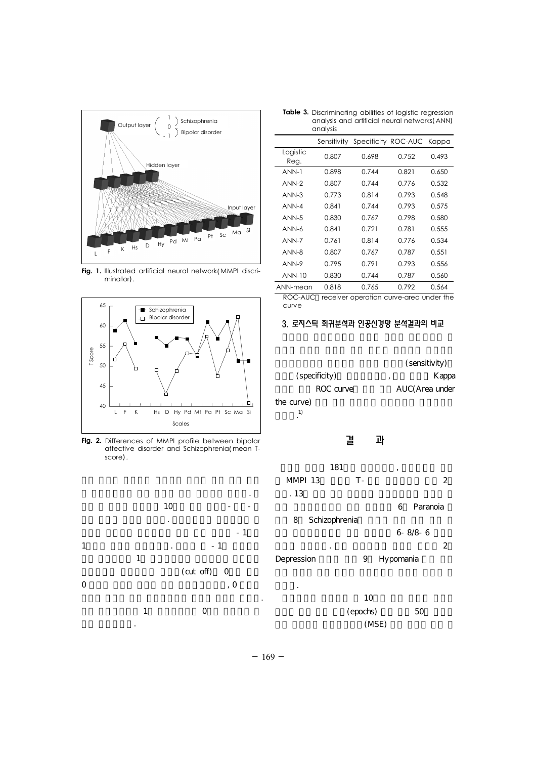

**Fig. 1.** Illustrated artificial neural network(MMPI discriminator).



**Fig. 2.** Differences of MMPI profile between bipolar affective disorder and Schizophrenia(mean Tscore).



| <b>Table 3.</b> Discriminating abilities of logistic regression |
|-----------------------------------------------------------------|
| analysis and artificial neural networks (ANN)                   |
| analysis                                                        |

|                  | Sensitivity |       | Specificity ROC-AUC Kappa |       |
|------------------|-------------|-------|---------------------------|-------|
| Logistic<br>Reg. | 0.807       | 0.698 | 0.752                     | 0.493 |
| ANN-1            | 0.898       | 0.744 | 0.821                     | 0.650 |
| ANN-2            | 0.807       | 0.744 | 0.776                     | 0.532 |
| $ANN-3$          | 0.773       | 0.814 | 0.793                     | 0.548 |
| ANN-4            | 0.841       | 0.744 | 0.793                     | 0.575 |
| $ANN-5$          | O 830       | 0.767 | 0.798                     | 0.580 |
| ANN-6            | 0.841       | 0.721 | 0.781                     | 0.555 |
| ANN-7            | 0.761       | 0.814 | 0.776                     | 0.534 |
| ANN-8            | 0.807       | 0.767 | 0.787                     | 0.551 |
| ANN-9            | 0.795       | 0.791 | 0.793                     | 0.556 |
| $ANN-10$         | 0.830       | 0.744 | 0.787                     | 0.560 |
| ANN-mean         | 0.818       | 0.765 | 0.792                     | 0.564 |

ROC-AUC receiver operation curve-area under the curve

### 3. 로지스틱 회귀분석과 인공신경망 분석결과의 비교

(sensitivity) (specificity) and the Kappa in Kappa Kappa in Kappa in Kappa Kappa in Kappa in Kappa in Kappa in Kappa in Kappa in Kappa in Kappa in Kappa in Kappa in Kappa in Kappa in Kappa in Kappa in Kappa in Kappa in Kappa in Kappa in ROC curve AUC(Area under the curve)  $\ddot{a}$ .1)

## 결 과

- $181$ ,  $\blacksquare$ MMPI 13 T- 2  $13$ 6 Paranoia 8 Schizophrenia 6-8/8-6  $\sim$  500  $\cdot$  500  $\cdot$  500  $\cdot$  500  $\cdot$  500  $\cdot$  500  $\cdot$  500  $\cdot$  500  $\cdot$  500  $\cdot$  500  $\cdot$  500  $\cdot$  500  $\cdot$  500  $\cdot$  500  $\cdot$  500  $\cdot$  500  $\cdot$  500  $\cdot$  500  $\cdot$  500  $\cdot$  500  $\cdot$  500  $\cdot$  500  $\cdot$  500  $\cdot$  500  $\cdot$
- Depression 9 Hypomania
	- $10$ (epochs) 50  $(MSE)$

있었다.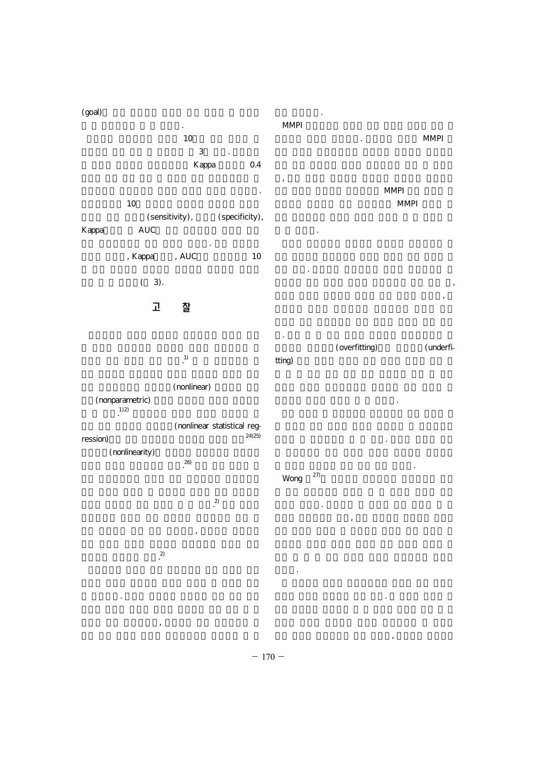#### (goal) 이 잘 이루어짐을 알 수 있었다.  $10$ 으로 예상된다. MMPI

 $3 \times 3$ Kappa 0.4 극성장애를 판별해내는 능력이 뛰어난 것으로 나타났다.  $10$  $\text{(sensitivity)}\text{,} \qquad \qquad \text{(specificity)}\text{,}$  AUC Kappa  $\blacksquare$ MMPI MMPI 이 될 것이다.

스틱 회귀분석보다 나은 결과를 보였다. 특히 민감도를 , Kappa , AUC 10

> $(3)$ . 고 찰 지고 있다. 로지스틱 회귀분석이 각각의 독립변수가 종  $\lambda$ 변수들 사이의 유의미한 관계에 대한 정보를 주지만, 인

MMPI

 $\ddot{1}$ 다. 또한 좀 더 나은 결과를 위하여는 인공신경망을 최 적화하고 과대적합(overfitting)이나 과소적합(underfitting)

(nonlinear) (nonparametric)  $\sum_{i=1}^n a_i$  $(1)$  2) (nonlinear statistical reg-  $_{\rm 24/25}$ 야한다는 점들이 단점이 될 수 있겠다.

ression) (nonlinearity)  $26)$ 분석의 큰 제한점이라 할 수 있다. 분석의 정확성 보다 망 분석이 적합하지 않을 수도 있을 것이다. Wong  $27$ 

 $^{(2)}$  $\mathcal{L}_{\mathcal{A}}$  $(2)$ 난다고 말한다. 저자들이 본 연구를 통해 공감을 할 수  $\mathcal{L}_{\text{max}}$ 

 $\mathcal{S}$ 

고 생각 전 대표 연구에서 다뤄지는 자료 연구에서 다뤄지는 것이다. 것이다. 기에는 부족한 부분들이 아직 많다. 한 정신과 병원에 입

 $\overline{\phantom{a}}$ 

 $- 170 -$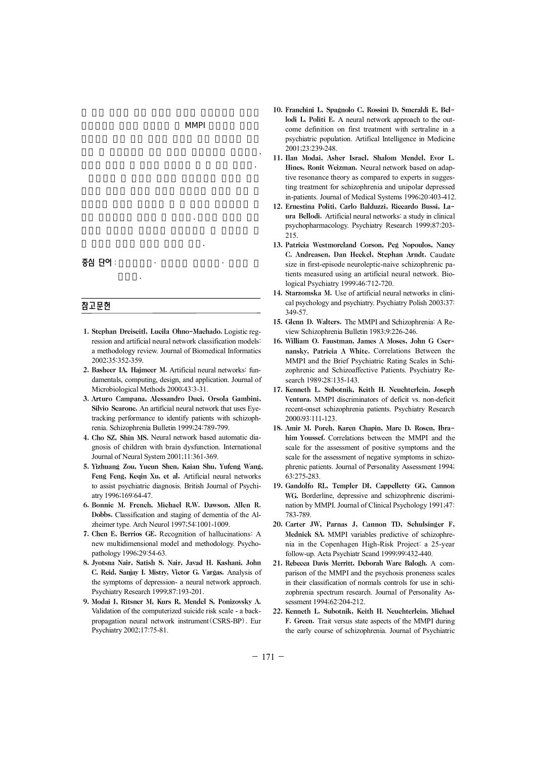#### 후 연구를 통하여 알아볼 필요가 있다.

중심 단어 :

성검사.

#### 참고문헌

1. Stephan Dreiseitl, Lucila Ohno-Machado. Logistic regression and artificial neural network classification models: a methodology review. Journal of Biomedical Informatics 2002;35:352-359.

 $MMPI$ 

진단 및 예측능력에 대한 검증이 필요하리라 생각된다. 이러한 점들이 본 연구의 제한점이 될 수 있을 것이다.

석의 제한점들을 경험할 수 있었다. 분석이 어려운 여러

- 2. Basheer IA, Hajmeer M. Artificial neural networks: fundamentals, computing, design, and application. Journal of Microbiological Methods 2000;43:3-31.
- 3. Arturo Campana, Alessandro Duci, Orsola Gambini, Silvio Scarone. An artificial neural network that uses Eyetracking performance to identify patients with schizophrenia. Schizophrenia Bulletin 1999;24:789-799.
- 4. Cho SZ, Shin MS. Neural network based automatic diagnosis of children with brain dysfunction. International Journal of Neural System 2001;11:361-369.
- 5. Yizhuang Zou, Yucun Shen, Kaian Shu, Yufeng Wang, Feng Feng, Keqin Xu, et al. Artificial neural networks to assist psychiatric diagnosis. British Journal of Psychiatry 1996;169:64-47.
- 6. Bonnie M. French, Michael R.W. Dawson, Allen R. Dobbs. Classification and staging of dementia of the Alzheimer type. Arch Neurol 1997;54:1001-1009.
- 7. Chen E, Berrios GE. Recognition of hallucinations: A new multidimensional model and methodology. Psychopathology 1996;29:54-63.
- 8. Jyotsna Nair, Satish S. Nair, Javad H. Kashani, John C. Reid, Sanjay I. Mistry, Victor G. Vargas. Analysis of the symptoms of depression- a neural network approach. Psychiatry Research 1999;87:193-201.
- 9. Modai I, Ritsner M, Kurs R, Mendel S, Ponizovsky A. Validation of the computerized suicide risk scale - a backpropagation neural network instrument(CSRS-BP). Eur Psychiatry 2002;17:75-81.
- 10. Franchini L, Spagnolo C, Rossini D, Smeraldi E, Bellodi L, Politi E. A neural network approach to the outcome definition on first treatment with sertraline in a psychiatric population. Artifical Intelligence in Medicine 2001;23:239-248.
- 11. Ilan Modai, Asher Israel, Shalom Mendel, Evor L. Hines, Ronit Weizman. Neural network based on adaptive resonance theory as compared to experts in suggesting treatment for schizophrenia and unipolar depressed in-patients. Journal of Medical Systems 1996;20:403-412.
- 12. Ernestina Politi, Carlo Balduzzi, Riccardo Bussi, Laura Bellodi. Artificial neural networks: a study in clinical psychopharmacology. Psychiatry Research 1999;87:203- 215.
- 13. Patricia Westmoreland Corson, Peg Nopoulos, Nancy C. Andreasen, Dan Heckel, Stephan Arndt. Caudate size in first-episode neuroleptic-naive schizophrenic patients measured using an artificial neural network. Biological Psychiatry 1999;46:712-720.
- 14. Starzomska M. Use of artificial neural networks in clinical psychology and psychiatry. Psychiatry Polish 2003;37: 349-57.
- 15. Glenn D. Walters. The MMPI and Schizophrenia: A Review Schizophrenia Bulletin 1983;9:226-246.
- 16. William O. Faustman, James A Moses, John G Csernansky, Patricia A White. Correlations Between the MMPI and the Brief Psychiatric Rating Scales in Schizophrenic and Schizoaffective Patients. Psychiatry Research 1989;28:135-143.
- 17. Kenneth L. Subotnik, Keith H. Neuchterlein, Joseph Ventura. MMPI discriminators of deficit vs. non-deficit recent-onset schizophrenia patients. Psychiatry Research 2000;93:111-123.
- 18. Amir M. Poreh, Karen Chapin, Marc D. Rosen, Ibrahim Youssef. Correlations between the MMPI and the scale for the assessment of positive symptoms and the scale for the assessment of negative symptoms in schizophrenic patients. Journal of Personality Assessment 1994; 63:275-283.
- 19. Gandolfo RL, Templer DI, Cappelletty GG, Cannon WG. Borderline, depressive and schizophrenic discrimination by MMPI. Journal of Clinical Psychology 1991;47: 783-789.
- 20. Carter JW, Parnas J, Cannon TD, Schulsinger F, Mednick SA. MMPI variables predictive of schizophrenia in the Copenhagen High-Risk Project: a 25-year follow-up. Acta Psychiatr Scand 1999;99:432-440.
- 21. Rebecca Davis Merritt, Deborah Ware Balogh. A comparison of the MMPI and the psychosis proneness scales in their classification of normals controls for use in schizophrenia spectrum research. Journal of Personality Assessment 1994;62:204-212.
- 22. Kenneth L. Subotnik, Keith H. Neuchterlein, Michael F. Green. Trait versus state aspects of the MMPI during the early course of schizophrenia. Journal of Psychiatric

 $- 171 -$